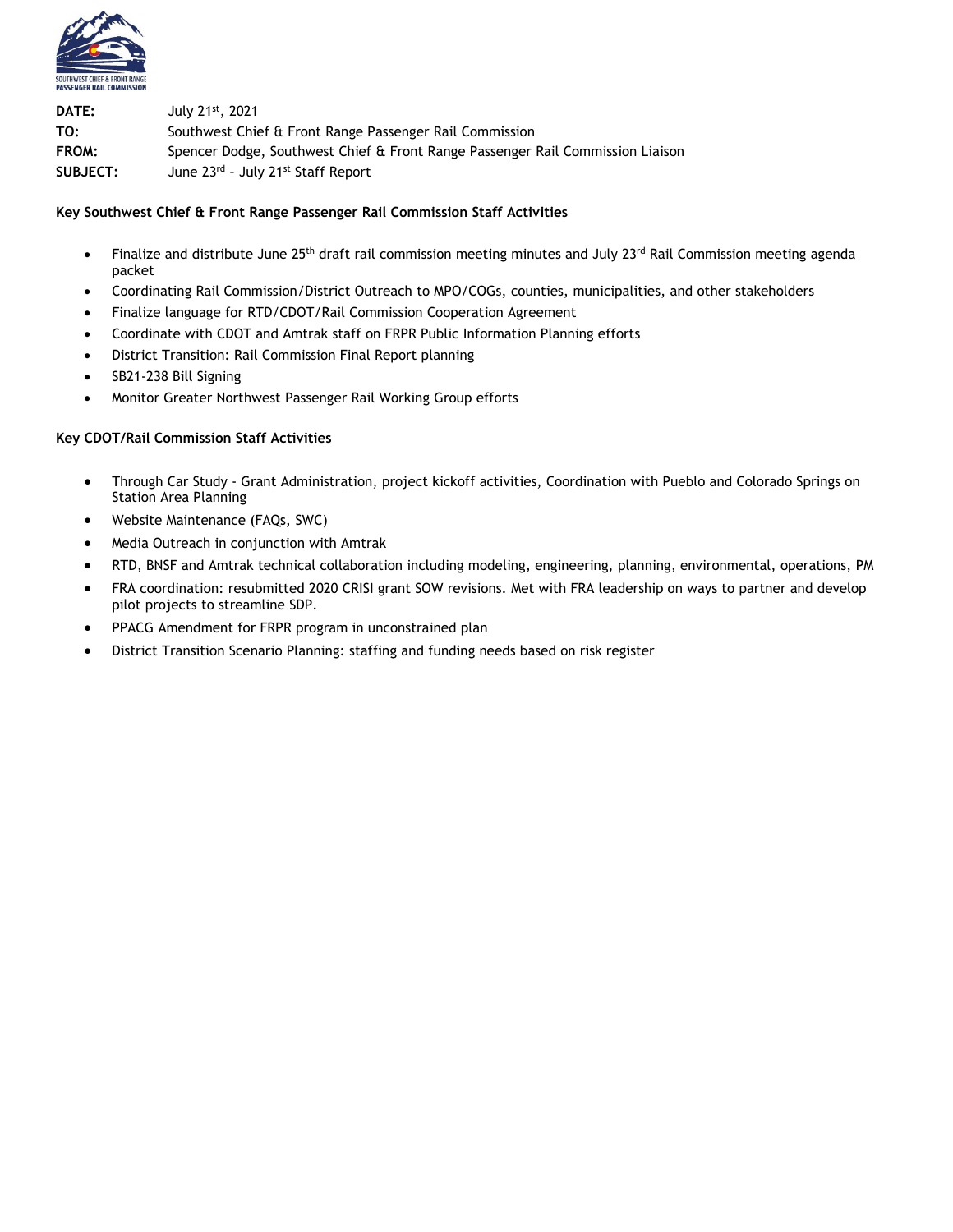

**DATE:** July 21st, 2021 **TO:** Southwest Chief & Front Range Passenger Rail Commission **FROM:** Spencer Dodge, Southwest Chief & Front Range Passenger Rail Commission Liaison **SUBJECT:** June 23rd – July 21st Staff Report

### **Key Southwest Chief & Front Range Passenger Rail Commission Staff Activities**

- Finalize and distribute June 25<sup>th</sup> draft rail commission meeting minutes and July 23<sup>rd</sup> Rail Commission meeting agenda packet
- Coordinating Rail Commission/District Outreach to MPO/COGs, counties, municipalities, and other stakeholders
- Finalize language for RTD/CDOT/Rail Commission Cooperation Agreement
- Coordinate with CDOT and Amtrak staff on FRPR Public Information Planning efforts
- District Transition: Rail Commission Final Report planning
- SB21-238 Bill Signing
- Monitor Greater Northwest Passenger Rail Working Group efforts

#### **Key CDOT/Rail Commission Staff Activities**

- Through Car Study Grant Administration, project kickoff activities, Coordination with Pueblo and Colorado Springs on Station Area Planning
- Website Maintenance (FAQs, SWC)
- Media Outreach in conjunction with Amtrak
- RTD, BNSF and Amtrak technical collaboration including modeling, engineering, planning, environmental, operations, PM
- FRA coordination: resubmitted 2020 CRISI grant SOW revisions. Met with FRA leadership on ways to partner and develop pilot projects to streamline SDP.
- PPACG Amendment for FRPR program in unconstrained plan
- District Transition Scenario Planning: staffing and funding needs based on risk register